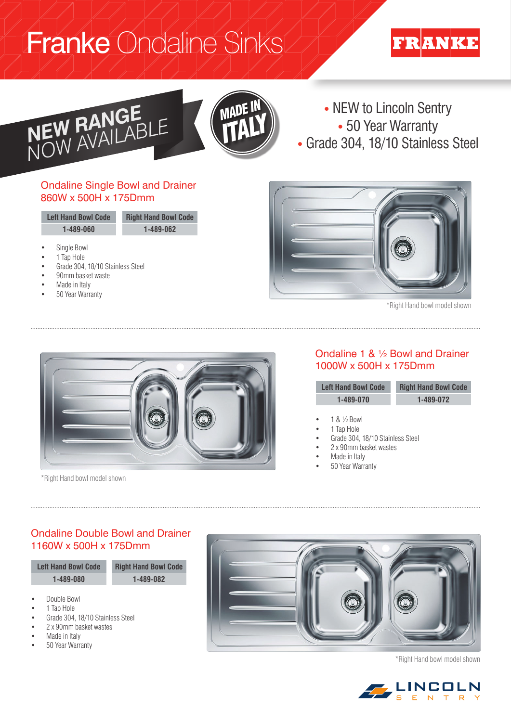# Franke Ondaline Sinks

# **FRANKE**





• NEW to Lincoln Sentry<br>• 50 Year Warranty

## Ondaline Single Bowl and Drainer 860W x 500H x 175Dmm

| <b>Left Hand Bowl Code</b> | <b>Right Hand Bowl Code</b> |
|----------------------------|-----------------------------|
| 1-489-060                  | 1-489-062                   |
|                            |                             |

- Single Bowl
- 1 Tap Hole
- Grade 304, 18/10 Stainless Steel
- 90mm basket waste
- Made in Italy
- 50 Year Warranty



\*Right Hand bowl model shown



\*Right Hand bowl model shown

### Ondaline 1 & ½ Bowl and Drainer 1000W x 500H x 175Dmm

| <b>Left Hand Bowl Code</b> | <b>Right Hand Bowl Code</b> |
|----------------------------|-----------------------------|
| 1-489-070                  | 1-489-072                   |
|                            |                             |

- 1 & ½ Bowl
	- 1 Tap Hole
- Grade 304, 18/10 Stainless Steel
- 2 x 90mm basket wastes
- Made in Italy
- 50 Year Warranty

## Ondaline Double Bowl and Drainer 1160W x 500H x 175Dmm



- Made in Italy
- 50 Year Warranty



\*Right Hand bowl model shown